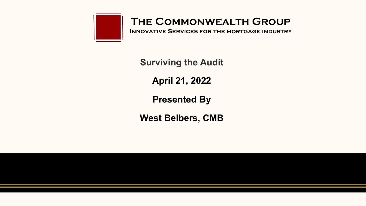

**Innovative Services for the mortgage industry**

**Surviving the Audit**

**April 21, 2022**

**Presented By**

**West Beibers, CMB**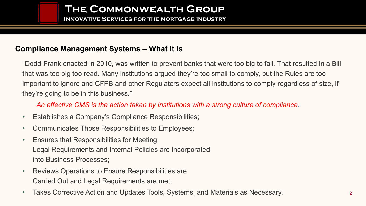**Innovative Services for the mortgage industry**

### **Compliance Management Systems – What It Is**

"Dodd-Frank enacted in 2010, was written to prevent banks that were too big to fail. That resulted in a Bill that was too big too read. Many institutions argued they're too small to comply, but the Rules are too important to ignore and CFPB and other Regulators expect all institutions to comply regardless of size, if they're going to be in this business."

*An effective CMS is the action taken by institutions with a strong culture of compliance*.

- Establishes a Company's Compliance Responsibilities;
- Communicates Those Responsibilities to Employees;
- Ensures that Responsibilities for Meeting Legal Requirements and Internal Policies are Incorporated into Business Processes;
- Reviews Operations to Ensure Responsibilities are Carried Out and Legal Requirements are met;
- Takes Corrective Action and Updates Tools, Systems, and Materials as Necessary.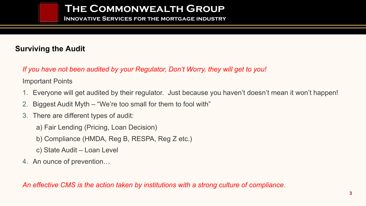**Innovative Services for the mortgage industry**

### **Surviving the Audit**

*If you have not been audited by your Regulator, Don't Worry, they will get to you!*

Important Points

- 1. Everyone will get audited by their regulator. Just because you haven't doesn't mean it won't happen!
- 2. Biggest Audit Myth "We're too small for them to fool with"
- 3. There are different types of audit:
	- a) Fair Lending (Pricing, Loan Decision)
	- b) Compliance (HMDA, Reg B, RESPA, Reg Z etc.)
	- c) State Audit Loan Level
- 4. An ounce of prevention…

*An effective CMS is the action taken by institutions with a strong culture of compliance*.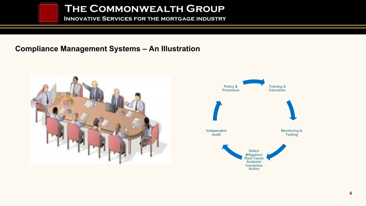**Innovative Services for the mortgage industry**

### **Compliance Management Systems – An Illustration**



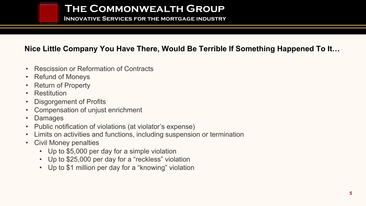**Innovative Services for the mortgage industry**

### **Nice Little Company You Have There, Would Be Terrible If Something Happened To It…**

- Rescission or Reformation of Contracts
- Refund of Moneys
- Return of Property
- Restitution
- Disgorgement of Profits
- Compensation of unjust enrichment
- Damages
- Public notification of violations (at violator's expense)
- Limits on activities and functions, including suspension or termination
- Civil Money penalties
	- Up to \$5,000 per day for a simple violation
	- Up to \$25,000 per day for a "reckless" violation
	- Up to \$1 million per day for a "knowing" violation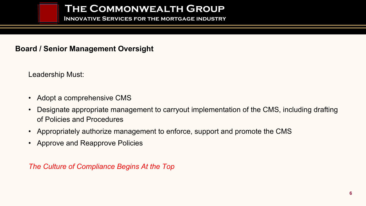**Innovative Services for the mortgage industry**

### **Board / Senior Management Oversight**

Leadership Must:

- Adopt a comprehensive CMS
- Designate appropriate management to carryout implementation of the CMS, including drafting of Policies and Procedures
- Appropriately authorize management to enforce, support and promote the CMS
- Approve and Reapprove Policies

*The Culture of Compliance Begins At the Top*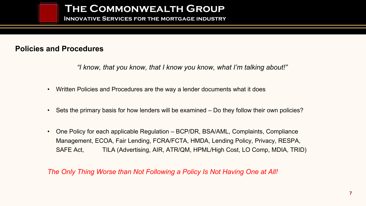**Innovative Services for the mortgage industry**

### **Policies and Procedures**

*"I know, that you know, that I know you know, what I'm talking about!"*

- Written Policies and Procedures are the way a lender documents what it does
- Sets the primary basis for how lenders will be examined Do they follow their own policies?
- One Policy for each applicable Regulation BCP/DR, BSA/AML, Complaints, Compliance Management, ECOA, Fair Lending, FCRA/FCTA, HMDA, Lending Policy, Privacy, RESPA, SAFE Act, TILA (Advertising, AIR, ATR/QM, HPML/High Cost, LO Comp, MDIA, TRID)

*The Only Thing Worse than Not Following a Policy Is Not Having One at All!*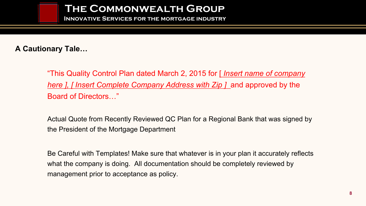**Innovative Services for the mortgage industry**

### **A Cautionary Tale…**

"This Quality Control Plan dated March 2, 2015 for [ *Insert name of company here ], [ Insert Complete Company Address with Zip ]* and approved by the Board of Directors…"

Actual Quote from Recently Reviewed QC Plan for a Regional Bank that was signed by the President of the Mortgage Department

Be Careful with Templates! Make sure that whatever is in your plan it accurately reflects what the company is doing. All documentation should be completely reviewed by management prior to acceptance as policy.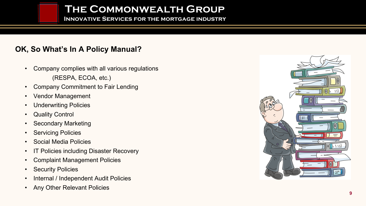**Innovative Services for the mortgage industry**

### **OK, So What's In A Policy Manual?**

- Company complies with all various regulations (RESPA, ECOA, etc.)
- Company Commitment to Fair Lending
- Vendor Management
- Underwriting Policies
- **Quality Control**
- Secondary Marketing
- **Servicing Policies**
- Social Media Policies
- IT Policies including Disaster Recovery
- Complaint Management Policies
- **Security Policies**
- Internal / Independent Audit Policies
- Any Other Relevant Policies

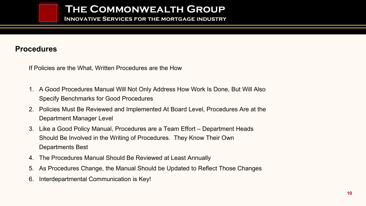**Innovative Services for the mortgage industry**

#### **Procedures**

If Policies are the What, Written Procedures are the How

- 1. A Good Procedures Manual Will Not Only Address How Work Is Done, But Will Also Specify Benchmarks for Good Procedures
- 2. Policies Must Be Reviewed and Implemented At Board Level, Procedures Are at the Department Manager Level
- 3. Like a Good Policy Manual, Procedures are a Team Effort Department Heads Should Be Involved in the Writing of Procedures. They Know Their Own Departments Best
- 4. The Procedures Manual Should Be Reviewed at Least Annually
- 5. As Procedures Change, the Manual Should be Updated to Reflect Those Changes
- 6. Interdepartmental Communication is Key!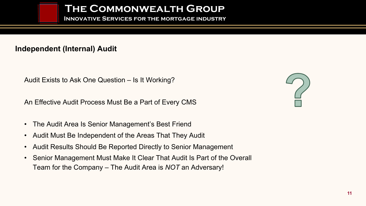**Innovative Services for the mortgage industry**

### **Independent (Internal) Audit**

Audit Exists to Ask One Question – Is It Working?

An Effective Audit Process Must Be a Part of Every CMS

- The Audit Area Is Senior Management's Best Friend
- Audit Must Be Independent of the Areas That They Audit
- Audit Results Should Be Reported Directly to Senior Management
- Senior Management Must Make It Clear That Audit Is Part of the Overall Team for the Company – The Audit Area is *NOT* an Adversary!

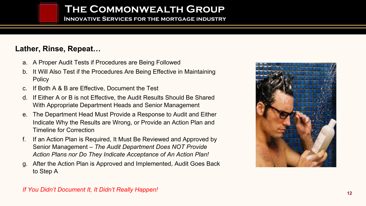**Innovative Services for the mortgage industry**

### **Lather, Rinse, Repeat…**

- a. A Proper Audit Tests if Procedures are Being Followed
- b. It Will Also Test if the Procedures Are Being Effective in Maintaining **Policy**
- c. If Both A & B are Effective, Document the Test
- d. If Either A or B is not Effective, the Audit Results Should Be Shared With Appropriate Department Heads and Senior Management
- e. The Department Head Must Provide a Response to Audit and Either Indicate Why the Results are Wrong, or Provide an Action Plan and Timeline for Correction
- f. If an Action Plan is Required, It Must Be Reviewed and Approved by Senior Management – *The Audit Department Does NOT Provide Action Plans nor Do They Indicate Acceptance of An Action Plan!*
- g. After the Action Plan is Approved and Implemented, Audit Goes Back to Step A



#### *If You Didn't Document It, It Didn't Really Happen!*